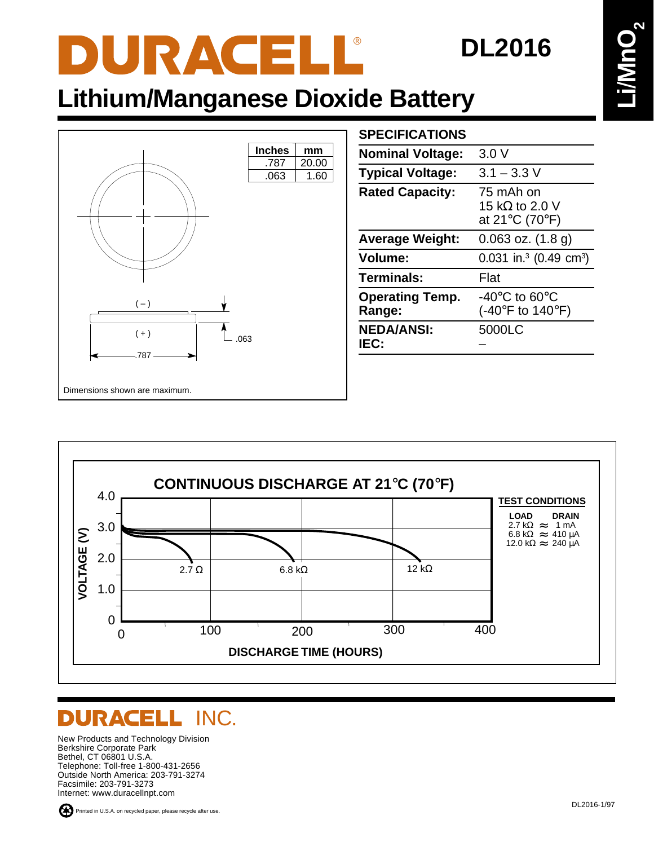# DURACELL®

#### **DL2016**

### **Lithium/Manganese Dioxide Battery**



| <b>SPECIFICATIONS</b>            |                                                                                              |
|----------------------------------|----------------------------------------------------------------------------------------------|
| <b>Nominal Voltage:</b>          | 3.0V                                                                                         |
| <b>Typical Voltage:</b>          | $3.1 - 3.3$ V                                                                                |
| <b>Rated Capacity:</b>           | 75 mAh on<br>15 k $\Omega$ to 2.0 V<br>at 21 $\mathrm{^{\circ}C}$ (70 $\mathrm{^{\circ}F}$ ) |
| <b>Average Weight:</b>           | $0.063$ oz. $(1.8 g)$                                                                        |
| <b>Volume:</b>                   | 0.031 in. <sup>3</sup> (0.49 cm <sup>3</sup> )                                               |
| <b>Terminals:</b>                | Flat                                                                                         |
| <b>Operating Temp.</b><br>Range: | -40°C to 60°C<br>(-40 $\degree$ F to 140 $\degree$ F)                                        |
| <b>NEDA/ANSI:</b><br>IEC:        | 5000LC                                                                                       |



#### DURACELL INC.

New Products and Technology Division Berkshire Corporate Park Bethel, CT 06801 U.S.A. Telephone: Toll-free 1-800-431-2656 Outside North America: 203-791-3274 Facsimile: 203-791-3273 Internet: www.duracellnpt.com